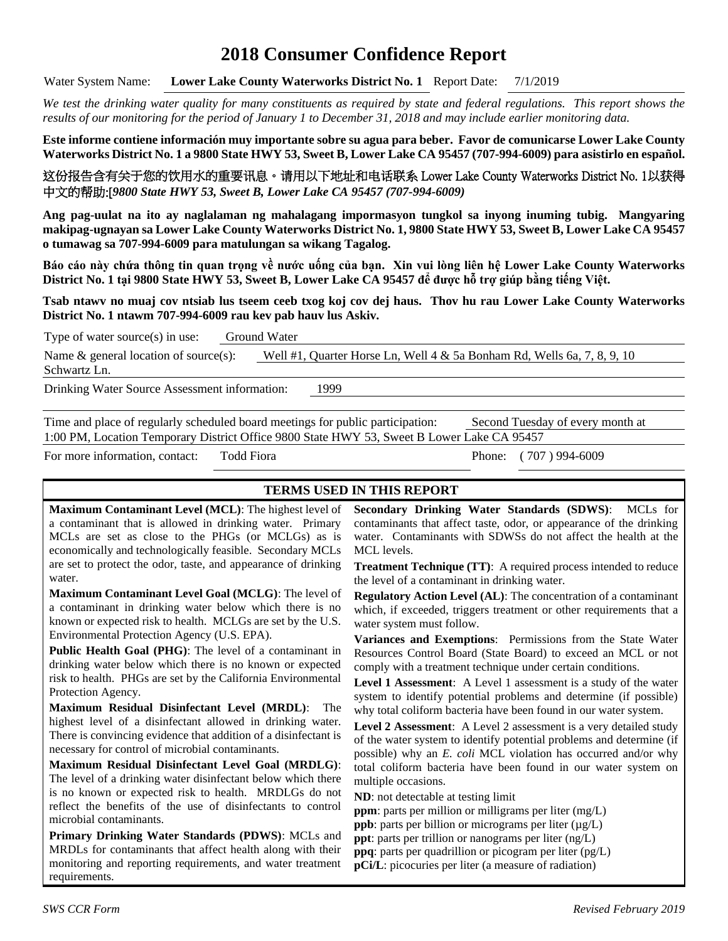# **2018 Consumer Confidence Report**

Water System Name: **Lower Lake County Waterworks District No. 1** Report Date: 7/1/2019

*We test the drinking water quality for many constituents as required by state and federal regulations. This report shows the results of our monitoring for the period of January 1 to December 31, 2018 and may include earlier monitoring data.*

**Este informe contiene información muy importante sobre su agua para beber. Favor de comunicarse Lower Lake County Waterworks District No. 1 a 9800 State HWY 53, Sweet B, Lower Lake CA 95457 (707-994-6009) para asistirlo en español.**

这份报告含有关于您的饮用水的重要讯息。请用以下地址和电话联系 Lower Lake County Waterworks District No. 1以获得 中文的帮助:[*9800 State HWY 53, Sweet B, Lower Lake CA 95457 (707-994-6009)*

**Ang pag-uulat na ito ay naglalaman ng mahalagang impormasyon tungkol sa inyong inuming tubig. Mangyaring makipag-ugnayan sa Lower Lake County Waterworks District No. 1, 9800 State HWY 53, Sweet B, Lower Lake CA 95457 o tumawag sa 707-994-6009 para matulungan sa wikang Tagalog.**

**Báo cáo này chứa thông tin quan trọng về nước uống của bạn. Xin vui lòng liên hệ Lower Lake County Waterworks District No. 1 tại 9800 State HWY 53, Sweet B, Lower Lake CA 95457 để được hỗ trợ giúp bằng tiếng Việt.**

**Tsab ntawv no muaj cov ntsiab lus tseem ceeb txog koj cov dej haus. Thov hu rau Lower Lake County Waterworks District No. 1 ntawm 707-994-6009 rau kev pab hauv lus Askiv.**

| Type of water source $(s)$ in use:            | Ground Water |                                                                            |  |  |  |  |  |
|-----------------------------------------------|--------------|----------------------------------------------------------------------------|--|--|--|--|--|
| Name $\&$ general location of source(s):      |              | Well #1, Quarter Horse Ln, Well $4 \& 5a$ Bonham Rd, Wells 6a, 7, 8, 9, 10 |  |  |  |  |  |
| Schwartz Ln.                                  |              |                                                                            |  |  |  |  |  |
| Drinking Water Source Assessment information: |              | 1999                                                                       |  |  |  |  |  |

Time and place of regularly scheduled board meetings for public participation: Second Tuesday of every month at 1:00 PM, Location Temporary District Office 9800 State HWY 53, Sweet B Lower Lake CA 95457

For more information, contact: Todd Fiora Phone: (707) 994-6009

## **TERMS USED IN THIS REPORT**

**Maximum Contaminant Level (MCL)**: The highest level of a contaminant that is allowed in drinking water. Primary MCLs are set as close to the PHGs (or MCLGs) as is economically and technologically feasible. Secondary MCLs are set to protect the odor, taste, and appearance of drinking water.

**Maximum Contaminant Level Goal (MCLG)**: The level of a contaminant in drinking water below which there is no known or expected risk to health. MCLGs are set by the U.S. Environmental Protection Agency (U.S. EPA).

**Public Health Goal (PHG)**: The level of a contaminant in drinking water below which there is no known or expected risk to health. PHGs are set by the California Environmental Protection Agency.

**Maximum Residual Disinfectant Level (MRDL)**: The highest level of a disinfectant allowed in drinking water. There is convincing evidence that addition of a disinfectant is necessary for control of microbial contaminants.

**Maximum Residual Disinfectant Level Goal (MRDLG)**: The level of a drinking water disinfectant below which there is no known or expected risk to health. MRDLGs do not reflect the benefits of the use of disinfectants to control microbial contaminants.

**Primary Drinking Water Standards (PDWS)**: MCLs and MRDLs for contaminants that affect health along with their monitoring and reporting requirements, and water treatment requirements.

**Secondary Drinking Water Standards (SDWS)**:MCLs for contaminants that affect taste, odor, or appearance of the drinking water. Contaminants with SDWSs do not affect the health at the MCL levels.

**Treatment Technique (TT)**: A required process intended to reduce the level of a contaminant in drinking water.

**Regulatory Action Level (AL)**: The concentration of a contaminant which, if exceeded, triggers treatment or other requirements that a water system must follow.

**Variances and Exemptions**: Permissions from the State Water Resources Control Board (State Board) to exceed an MCL or not comply with a treatment technique under certain conditions.

**Level 1 Assessment**: A Level 1 assessment is a study of the water system to identify potential problems and determine (if possible) why total coliform bacteria have been found in our water system.

**Level 2 Assessment**: A Level 2 assessment is a very detailed study of the water system to identify potential problems and determine (if possible) why an *E. coli* MCL violation has occurred and/or why total coliform bacteria have been found in our water system on multiple occasions.

**ND**: not detectable at testing limit

**ppm**: parts per million or milligrams per liter (mg/L)

**ppb**: parts per billion or micrograms per liter  $(\mu g/L)$ 

**ppt**: parts per trillion or nanograms per liter (ng/L)

**ppq**: parts per quadrillion or picogram per liter (pg/L)

**pCi/L**: picocuries per liter (a measure of radiation)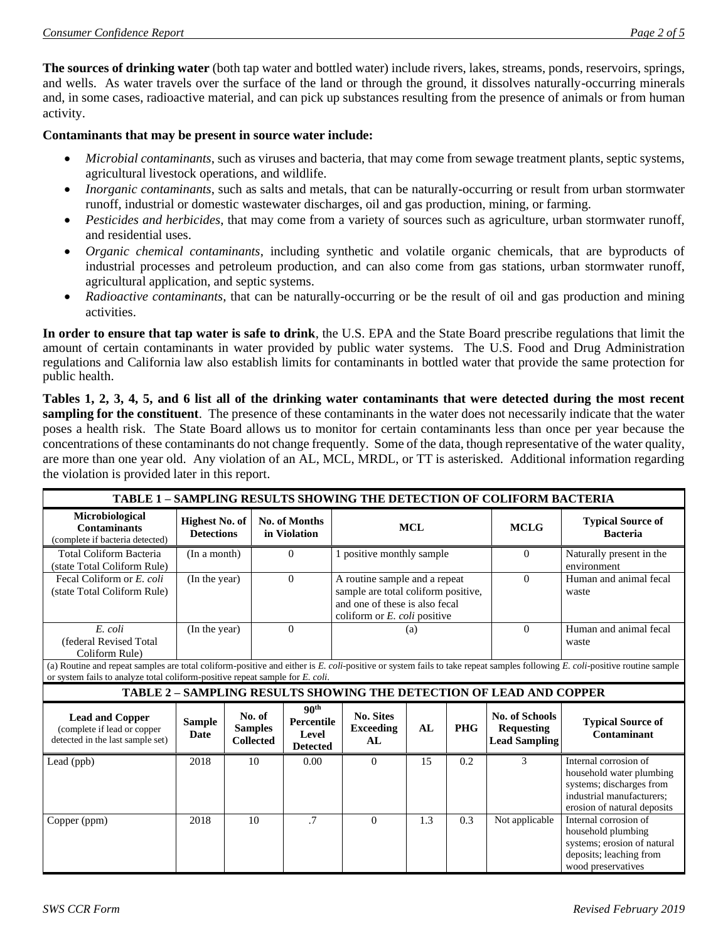**The sources of drinking water** (both tap water and bottled water) include rivers, lakes, streams, ponds, reservoirs, springs, and wells. As water travels over the surface of the land or through the ground, it dissolves naturally-occurring minerals and, in some cases, radioactive material, and can pick up substances resulting from the presence of animals or from human activity.

#### **Contaminants that may be present in source water include:**

- *Microbial contaminants*, such as viruses and bacteria, that may come from sewage treatment plants, septic systems, agricultural livestock operations, and wildlife.
- *Inorganic contaminants*, such as salts and metals, that can be naturally-occurring or result from urban stormwater runoff, industrial or domestic wastewater discharges, oil and gas production, mining, or farming.
- *Pesticides and herbicides*, that may come from a variety of sources such as agriculture, urban stormwater runoff, and residential uses.
- *Organic chemical contaminants*, including synthetic and volatile organic chemicals, that are byproducts of industrial processes and petroleum production, and can also come from gas stations, urban stormwater runoff, agricultural application, and septic systems.
- *Radioactive contaminants*, that can be naturally-occurring or be the result of oil and gas production and mining activities.

**In order to ensure that tap water is safe to drink**, the U.S. EPA and the State Board prescribe regulations that limit the amount of certain contaminants in water provided by public water systems. The U.S. Food and Drug Administration regulations and California law also establish limits for contaminants in bottled water that provide the same protection for public health.

**Tables 1, 2, 3, 4, 5, and 6 list all of the drinking water contaminants that were detected during the most recent sampling for the constituent**. The presence of these contaminants in the water does not necessarily indicate that the water poses a health risk. The State Board allows us to monitor for certain contaminants less than once per year because the concentrations of these contaminants do not change frequently. Some of the data, though representative of the water quality, are more than one year old. Any violation of an AL, MCL, MRDL, or TT is asterisked. Additional information regarding the violation is provided later in this report.

| TABLE 1 - SAMPLING RESULTS SHOWING THE DETECTION OF COLIFORM BACTERIA                                                                                                                                                                                       |                                            |  |                                              |                                                                   |                                                                                                                                                  |     |            |                                                                     |                                                                                                                                           |
|-------------------------------------------------------------------------------------------------------------------------------------------------------------------------------------------------------------------------------------------------------------|--------------------------------------------|--|----------------------------------------------|-------------------------------------------------------------------|--------------------------------------------------------------------------------------------------------------------------------------------------|-----|------------|---------------------------------------------------------------------|-------------------------------------------------------------------------------------------------------------------------------------------|
| Microbiological<br><b>Contaminants</b><br>(complete if bacteria detected)                                                                                                                                                                                   | <b>Highest No. of</b><br><b>Detections</b> |  | No. of Months<br>in Violation                |                                                                   | <b>MCL</b>                                                                                                                                       |     |            | <b>MCLG</b>                                                         | <b>Typical Source of</b><br><b>Bacteria</b>                                                                                               |
| <b>Total Coliform Bacteria</b><br>(state Total Coliform Rule)                                                                                                                                                                                               | (In a month)                               |  | $\Omega$                                     |                                                                   | 1 positive monthly sample                                                                                                                        |     |            | $\Omega$                                                            | Naturally present in the<br>environment                                                                                                   |
| Fecal Coliform or E. coli<br>(state Total Coliform Rule)                                                                                                                                                                                                    | (In the year)                              |  | $\Omega$                                     |                                                                   | A routine sample and a repeat<br>sample are total coliform positive,<br>and one of these is also fecal<br>coliform or $E$ , <i>coli</i> positive |     |            | $\Omega$                                                            | Human and animal fecal<br>waste                                                                                                           |
| E. coli<br>(federal Revised Total<br>Coliform Rule)                                                                                                                                                                                                         | (In the year)                              |  |                                              | $\Omega$                                                          |                                                                                                                                                  | (a) |            | $\Omega$                                                            | Human and animal fecal<br>waste                                                                                                           |
| (a) Routine and repeat samples are total coliform-positive and either is E. coli-positive or system fails to take repeat samples following E. coli-positive routine sample<br>or system fails to analyze total coliform-positive repeat sample for E. coli. |                                            |  |                                              |                                                                   |                                                                                                                                                  |     |            |                                                                     |                                                                                                                                           |
|                                                                                                                                                                                                                                                             |                                            |  |                                              |                                                                   |                                                                                                                                                  |     |            | TABLE 2 - SAMPLING RESULTS SHOWING THE DETECTION OF LEAD AND COPPER |                                                                                                                                           |
| <b>Lead and Copper</b><br>(complete if lead or copper<br>detected in the last sample set)                                                                                                                                                                   | <b>Sample</b><br><b>Date</b>               |  | No. of<br><b>Samples</b><br><b>Collected</b> | 90 <sup>th</sup><br><b>Percentile</b><br>Level<br><b>Detected</b> | <b>No. Sites</b><br><b>Exceeding</b><br>AL                                                                                                       | AL  | <b>PHG</b> | No. of Schools<br><b>Requesting</b><br><b>Lead Sampling</b>         | <b>Typical Source of</b><br>Contaminant                                                                                                   |
| Lead (ppb)                                                                                                                                                                                                                                                  | 2018                                       |  | 10                                           | 0.00                                                              | $\theta$                                                                                                                                         | 15  | 0.2        | 3                                                                   | Internal corrosion of<br>household water plumbing<br>systems; discharges from<br>industrial manufacturers:<br>erosion of natural deposits |
| Copper (ppm)                                                                                                                                                                                                                                                | 2018                                       |  | 10                                           | .7                                                                | $\Omega$                                                                                                                                         | 1.3 | 0.3        | Not applicable                                                      | Internal corrosion of<br>household plumbing<br>systems; erosion of natural<br>deposits; leaching from<br>wood preservatives               |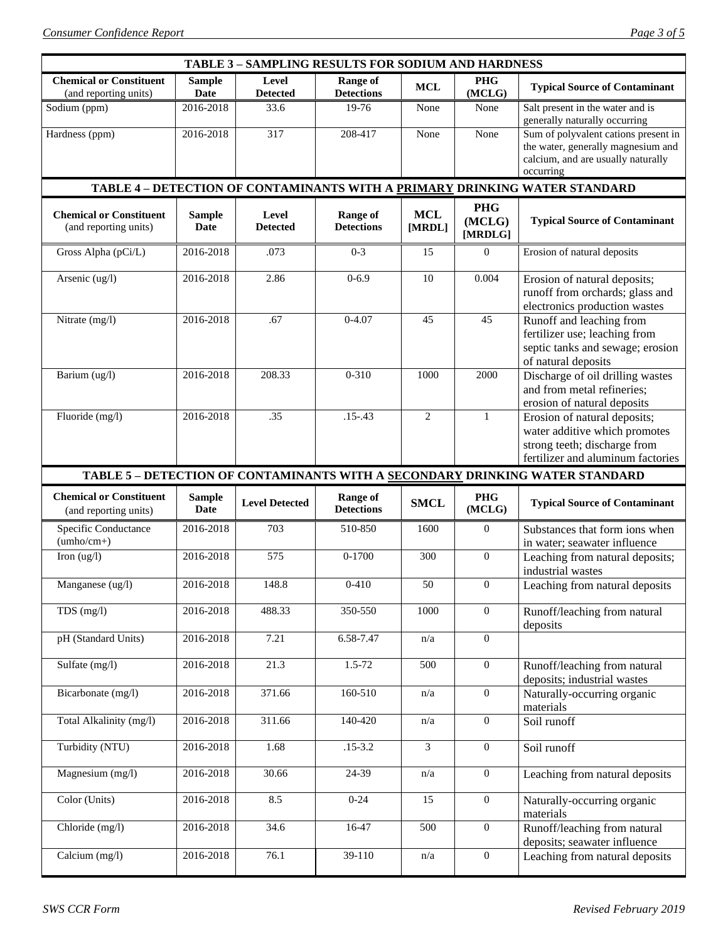| <b>TABLE 3 - SAMPLING RESULTS FOR SODIUM AND HARDNESS</b> |                       |                          |                                      |                      |                                 |                                                                                                                                    |  |  |  |
|-----------------------------------------------------------|-----------------------|--------------------------|--------------------------------------|----------------------|---------------------------------|------------------------------------------------------------------------------------------------------------------------------------|--|--|--|
| <b>Chemical or Constituent</b><br>(and reporting units)   | <b>Sample</b><br>Date | Level<br><b>Detected</b> | <b>Range of</b><br><b>Detections</b> | <b>MCL</b>           | <b>PHG</b><br>(MCLG)            | <b>Typical Source of Contaminant</b>                                                                                               |  |  |  |
| Sodium (ppm)                                              | 2016-2018             | 33.6                     | 19-76                                | None                 | None                            | Salt present in the water and is<br>generally naturally occurring                                                                  |  |  |  |
| Hardness (ppm)                                            | 2016-2018             | 317                      | 208-417                              | None                 | None                            | Sum of polyvalent cations present in<br>the water, generally magnesium and<br>calcium, and are usually naturally<br>occurring      |  |  |  |
|                                                           |                       |                          |                                      |                      |                                 | TABLE 4 - DETECTION OF CONTAMINANTS WITH A PRIMARY DRINKING WATER STANDARD                                                         |  |  |  |
| <b>Chemical or Constituent</b><br>(and reporting units)   | <b>Sample</b><br>Date | Level<br><b>Detected</b> | <b>Range of</b><br><b>Detections</b> | <b>MCL</b><br>[MRDL] | <b>PHG</b><br>(MCLG)<br>[MRDLG] | <b>Typical Source of Contaminant</b>                                                                                               |  |  |  |
| Gross Alpha (pCi/L)                                       | 2016-2018             | .073                     | $0 - 3$                              | 15                   | $\overline{0}$                  | Erosion of natural deposits                                                                                                        |  |  |  |
| Arsenic (ug/l)                                            | 2016-2018             | 2.86                     | $0 - 6.9$                            | 10                   | 0.004                           | Erosion of natural deposits;<br>runoff from orchards; glass and<br>electronics production wastes                                   |  |  |  |
| Nitrate (mg/l)                                            | 2016-2018             | .67                      | $0 - 4.07$                           | 45                   | 45                              | Runoff and leaching from<br>fertilizer use; leaching from<br>septic tanks and sewage; erosion<br>of natural deposits               |  |  |  |
| Barium (ug/l)                                             | 2016-2018             | 208.33                   | $0 - 310$                            | 1000                 | 2000                            | Discharge of oil drilling wastes<br>and from metal refineries;<br>erosion of natural deposits                                      |  |  |  |
| Fluoride (mg/l)                                           | 2016-2018             | .35                      | $.15 - .43$                          | $\overline{2}$       | 1                               | Erosion of natural deposits;<br>water additive which promotes<br>strong teeth; discharge from<br>fertilizer and aluminum factories |  |  |  |
|                                                           |                       |                          |                                      |                      |                                 |                                                                                                                                    |  |  |  |
|                                                           |                       |                          |                                      |                      |                                 | TABLE 5 - DETECTION OF CONTAMINANTS WITH A SECONDARY DRINKING WATER STANDARD                                                       |  |  |  |
| <b>Chemical or Constituent</b><br>(and reporting units)   | <b>Sample</b><br>Date | <b>Level Detected</b>    | <b>Range of</b><br><b>Detections</b> | <b>SMCL</b>          | <b>PHG</b><br>(MCLG)            | <b>Typical Source of Contaminant</b>                                                                                               |  |  |  |
| Specific Conductance<br>$(umbo/cm+)$                      | 2016-2018             | 703                      | 510-850                              | 1600                 | $\overline{0}$                  | Substances that form ions when                                                                                                     |  |  |  |
| Iron $(ug/l)$                                             | 2016-2018             | 575                      | $0 - 1700$                           | 300                  | $\boldsymbol{0}$                | in water; seawater influence<br>Leaching from natural deposits;                                                                    |  |  |  |
| Manganese (ug/l)                                          | 2016-2018             | 148.8                    | $0 - 410$                            | 50                   | $\mathbf{0}$                    | industrial wastes<br>Leaching from natural deposits                                                                                |  |  |  |
| TDS $(mg/l)$                                              | 2016-2018             | 488.33                   | 350-550                              | 1000                 | $\overline{0}$                  | Runoff/leaching from natural                                                                                                       |  |  |  |
| pH (Standard Units)                                       | 2016-2018             | 7.21                     | 6.58-7.47                            | n/a                  | $\overline{0}$                  | deposits                                                                                                                           |  |  |  |
| Sulfate (mg/l)                                            | 2016-2018             | 21.3                     | $1.5 - 72$                           | 500                  | $\mathbf{0}$                    | Runoff/leaching from natural                                                                                                       |  |  |  |
| Bicarbonate (mg/l)                                        | 2016-2018             | 371.66                   | 160-510                              | n/a                  | $\mathbf{0}$                    | deposits; industrial wastes<br>Naturally-occurring organic                                                                         |  |  |  |
| Total Alkalinity (mg/l)                                   | 2016-2018             | 311.66                   | 140-420                              | n/a                  | $\overline{0}$                  | materials<br>Soil runoff                                                                                                           |  |  |  |
| Turbidity (NTU)                                           | 2016-2018             | 1.68                     | $.15 - 3.2$                          | 3                    | $\mathbf{0}$                    | Soil runoff                                                                                                                        |  |  |  |
| Magnesium (mg/l)                                          | 2016-2018             | 30.66                    | $\overline{2}$ 4-39                  | n/a                  | $\overline{0}$                  | Leaching from natural deposits                                                                                                     |  |  |  |
| Color (Units)                                             | 2016-2018             | 8.5                      | $0 - 24$                             | 15                   | $\overline{0}$                  | Naturally-occurring organic                                                                                                        |  |  |  |
| Chloride (mg/l)                                           | 2016-2018             | 34.6                     | 16-47                                | 500                  | $\mathbf{0}$                    | materials<br>Runoff/leaching from natural<br>deposits; seawater influence                                                          |  |  |  |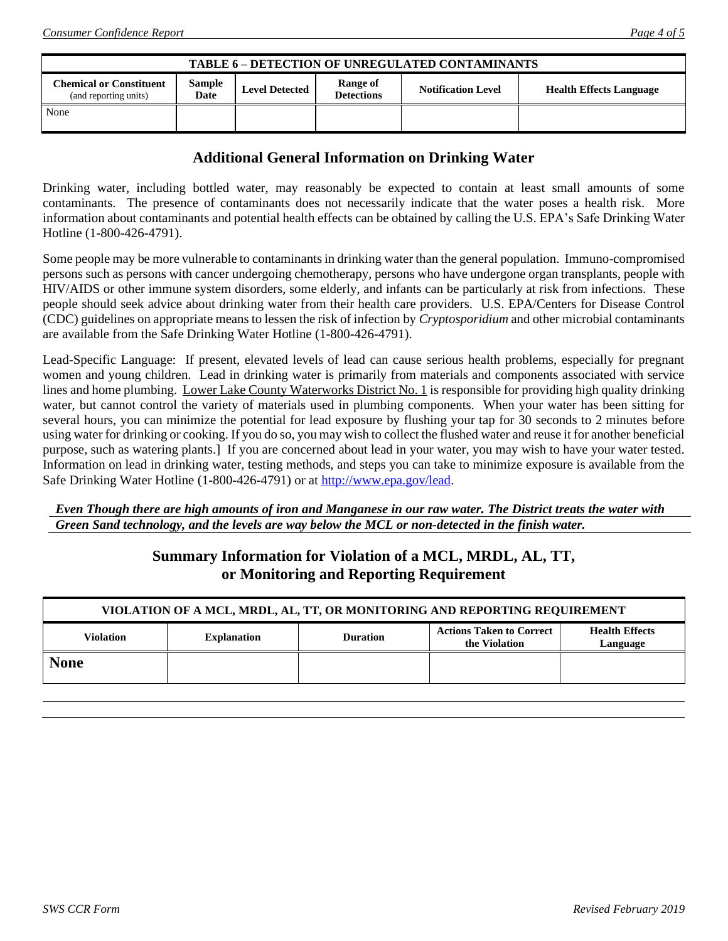| <b>TABLE 6 - DETECTION OF UNREGULATED CONTAMINANTS</b>  |                |                       |                               |                           |                                |  |  |
|---------------------------------------------------------|----------------|-----------------------|-------------------------------|---------------------------|--------------------------------|--|--|
| <b>Chemical or Constituent</b><br>(and reporting units) | Sample<br>Date | <b>Level Detected</b> | Range of<br><b>Detections</b> | <b>Notification Level</b> | <b>Health Effects Language</b> |  |  |
| None                                                    |                |                       |                               |                           |                                |  |  |

## **Additional General Information on Drinking Water**

Drinking water, including bottled water, may reasonably be expected to contain at least small amounts of some contaminants. The presence of contaminants does not necessarily indicate that the water poses a health risk. More information about contaminants and potential health effects can be obtained by calling the U.S. EPA's Safe Drinking Water Hotline (1-800-426-4791).

Some people may be more vulnerable to contaminants in drinking water than the general population. Immuno-compromised persons such as persons with cancer undergoing chemotherapy, persons who have undergone organ transplants, people with HIV/AIDS or other immune system disorders, some elderly, and infants can be particularly at risk from infections. These people should seek advice about drinking water from their health care providers. U.S. EPA/Centers for Disease Control (CDC) guidelines on appropriate means to lessen the risk of infection by *Cryptosporidium* and other microbial contaminants are available from the Safe Drinking Water Hotline (1-800-426-4791).

Lead-Specific Language: If present, elevated levels of lead can cause serious health problems, especially for pregnant women and young children. Lead in drinking water is primarily from materials and components associated with service lines and home plumbing. Lower Lake County Waterworks District No. 1 is responsible for providing high quality drinking water, but cannot control the variety of materials used in plumbing components. When your water has been sitting for several hours, you can minimize the potential for lead exposure by flushing your tap for 30 seconds to 2 minutes before using water for drinking or cooking. If you do so, you may wish to collect the flushed water and reuse it for another beneficial purpose, such as watering plants.] If you are concerned about lead in your water, you may wish to have your water tested. Information on lead in drinking water, testing methods, and steps you can take to minimize exposure is available from the Safe Drinking Water Hotline (1-800-426-4791) or at [http://www.epa.gov/lead.](http://www.epa.gov/lead)

#### *Even Though there are high amounts of iron and Manganese in our raw water. The District treats the water with Green Sand technology, and the levels are way below the MCL or non-detected in the finish water.*

## **Summary Information for Violation of a MCL, MRDL, AL, TT, or Monitoring and Reporting Requirement**

| VIOLATION OF A MCL, MRDL, AL, TT, OR MONITORING AND REPORTING REQUIREMENT |                    |                 |                                                  |                                   |  |  |  |
|---------------------------------------------------------------------------|--------------------|-----------------|--------------------------------------------------|-----------------------------------|--|--|--|
| <b>Violation</b>                                                          | <b>Explanation</b> | <b>Duration</b> | <b>Actions Taken to Correct</b><br>the Violation | <b>Health Effects</b><br>Language |  |  |  |
| <b>None</b>                                                               |                    |                 |                                                  |                                   |  |  |  |